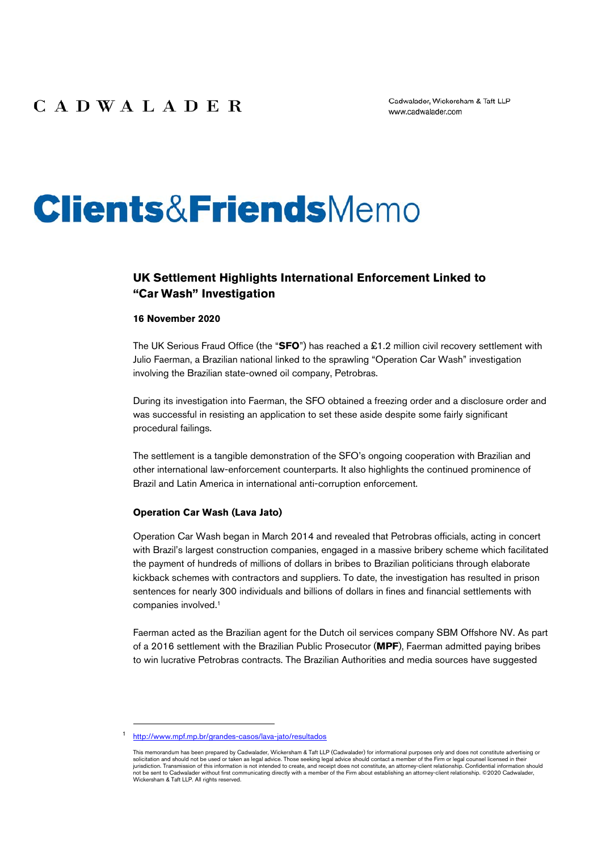# **Clients&FriendsMemo**

### **UK Settlement Highlights International Enforcement Linked to "Car Wash" Investigation**

#### **16 November 2020**

The UK Serious Fraud Office (the "**SFO**") has reached a £1.2 million civil recovery settlement with Julio Faerman, a Brazilian national linked to the sprawling "Operation Car Wash" investigation involving the Brazilian state-owned oil company, Petrobras.

During its investigation into Faerman, the SFO obtained a freezing order and a disclosure order and was successful in resisting an application to set these aside despite some fairly significant procedural failings.

The settlement is a tangible demonstration of the SFO's ongoing cooperation with Brazilian and other international law-enforcement counterparts. It also highlights the continued prominence of Brazil and Latin America in international anti-corruption enforcement.

#### **Operation Car Wash (Lava Jato)**

Operation Car Wash began in March 2014 and revealed that Petrobras officials, acting in concert with Brazil's largest construction companies, engaged in a massive bribery scheme which facilitated the payment of hundreds of millions of dollars in bribes to Brazilian politicians through elaborate kickback schemes with contractors and suppliers. To date, the investigation has resulted in prison sentences for nearly 300 individuals and billions of dollars in fines and financial settlements with companies involved.1

Faerman acted as the Brazilian agent for the Dutch oil services company SBM Offshore NV. As part of a 2016 settlement with the Brazilian Public Prosecutor (**MPF**), Faerman admitted paying bribes to win lucrative Petrobras contracts. The Brazilian Authorities and media sources have suggested

<sup>1</sup> <http://www.mpf.mp.br/grandes-casos/lava-jato/resultados>

This memorandum has been prepared by Cadwalader, Wickersham & Taft LLP (Cadwalader) for informational purposes only and does not constitute advertising or<br>solicitation and should not be used or taken as legal advice. Those jurisdiction. Transmission of this information is not intended to create, and receipt does not constitute, an attorney-client relationship. Confidential information should<br>not be sent to Cadwalader without first communicat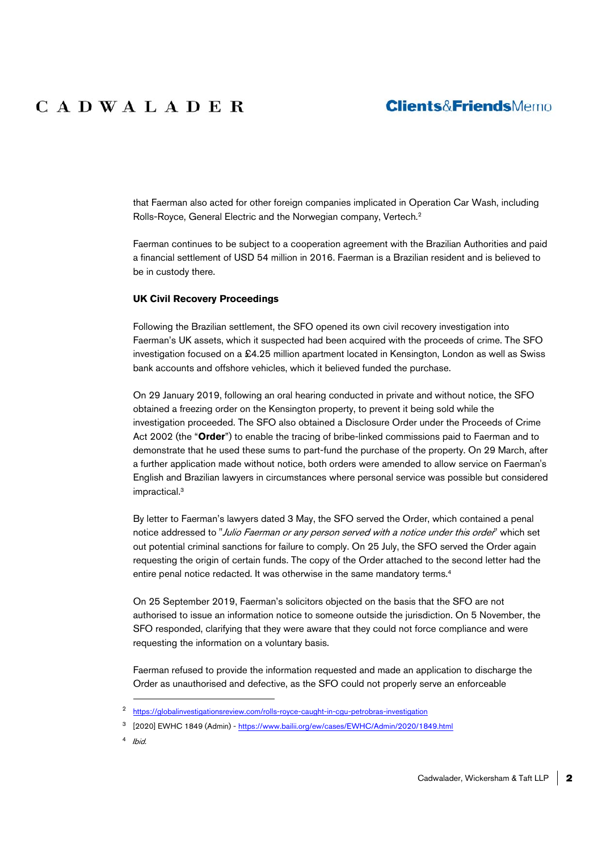## **CADWALADER**

## **Clients&FriendsMemo**

that Faerman also acted for other foreign companies implicated in Operation Car Wash, including Rolls-Royce, General Electric and the Norwegian company, Vertech.2

Faerman continues to be subject to a cooperation agreement with the Brazilian Authorities and paid a financial settlement of USD 54 million in 2016. Faerman is a Brazilian resident and is believed to be in custody there.

#### **UK Civil Recovery Proceedings**

Following the Brazilian settlement, the SFO opened its own civil recovery investigation into Faerman's UK assets, which it suspected had been acquired with the proceeds of crime. The SFO investigation focused on a £4.25 million apartment located in Kensington, London as well as Swiss bank accounts and offshore vehicles, which it believed funded the purchase.

On 29 January 2019, following an oral hearing conducted in private and without notice, the SFO obtained a freezing order on the Kensington property, to prevent it being sold while the investigation proceeded. The SFO also obtained a Disclosure Order under the Proceeds of Crime Act 2002 (the "**Order**") to enable the tracing of bribe-linked commissions paid to Faerman and to demonstrate that he used these sums to part-fund the purchase of the property. On 29 March, after a further application made without notice, both orders were amended to allow service on Faerman's English and Brazilian lawyers in circumstances where personal service was possible but considered impractical.3

By letter to Faerman's lawyers dated 3 May, the SFO served the Order, which contained a penal notice addressed to "Julio Faerman or any person served with a notice under this order" which set out potential criminal sanctions for failure to comply. On 25 July, the SFO served the Order again requesting the origin of certain funds. The copy of the Order attached to the second letter had the entire penal notice redacted. It was otherwise in the same mandatory terms.4

On 25 September 2019, Faerman's solicitors objected on the basis that the SFO are not authorised to issue an information notice to someone outside the jurisdiction. On 5 November, the SFO responded, clarifying that they were aware that they could not force compliance and were requesting the information on a voluntary basis.

Faerman refused to provide the information requested and made an application to discharge the Order as unauthorised and defective, as the SFO could not properly serve an enforceable

4 Ibid.

 <sup>2</sup> <https://globalinvestigationsreview.com/rolls-royce-caught-in-cgu-petrobras-investigation>

<sup>3 [2020]</sup> EWHC 1849 (Admin) - <https://www.bailii.org/ew/cases/EWHC/Admin/2020/1849.html>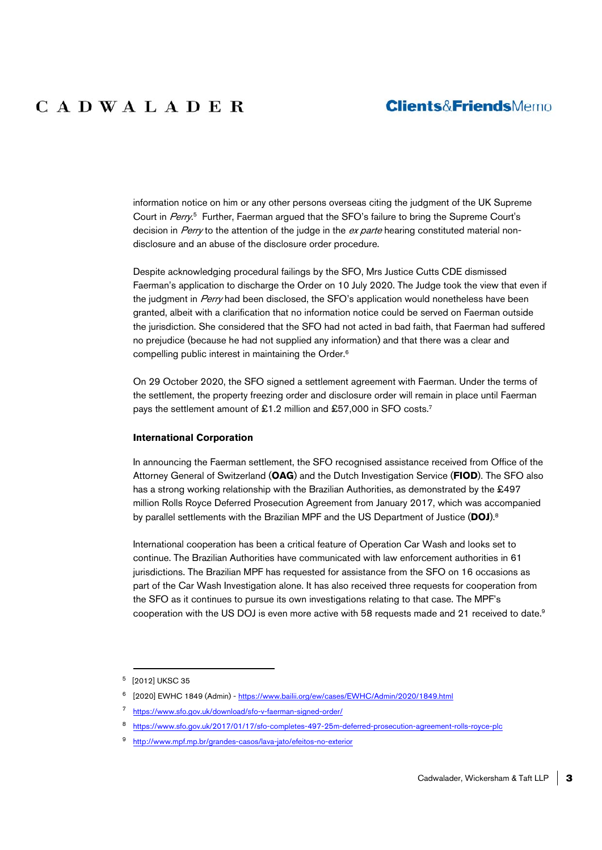## **Clients&FriendsMemo**

information notice on him or any other persons overseas citing the judgment of the UK Supreme Court in Perry.<sup>5</sup> Further, Faerman argued that the SFO's failure to bring the Supreme Court's decision in Perry to the attention of the judge in the ex parte hearing constituted material nondisclosure and an abuse of the disclosure order procedure.

Despite acknowledging procedural failings by the SFO, Mrs Justice Cutts CDE dismissed Faerman's application to discharge the Order on 10 July 2020. The Judge took the view that even if the judgment in Perry had been disclosed, the SFO's application would nonetheless have been granted, albeit with a clarification that no information notice could be served on Faerman outside the jurisdiction. She considered that the SFO had not acted in bad faith, that Faerman had suffered no prejudice (because he had not supplied any information) and that there was a clear and compelling public interest in maintaining the Order.6

On 29 October 2020, the SFO signed a settlement agreement with Faerman. Under the terms of the settlement, the property freezing order and disclosure order will remain in place until Faerman pays the settlement amount of £1.2 million and £57,000 in SFO costs.<sup>7</sup>

#### **International Corporation**

In announcing the Faerman settlement, the SFO recognised assistance received from Office of the Attorney General of Switzerland (**OAG**) and the Dutch Investigation Service (**FIOD**). The SFO also has a strong working relationship with the Brazilian Authorities, as demonstrated by the £497 million Rolls Royce Deferred Prosecution Agreement from January 2017, which was accompanied by parallel settlements with the Brazilian MPF and the US Department of Justice (**DOJ**).8

International cooperation has been a critical feature of Operation Car Wash and looks set to continue. The Brazilian Authorities have communicated with law enforcement authorities in 61 jurisdictions. The Brazilian MPF has requested for assistance from the SFO on 16 occasions as part of the Car Wash Investigation alone. It has also received three requests for cooperation from the SFO as it continues to pursue its own investigations relating to that case. The MPF's cooperation with the US DOJ is even more active with 58 requests made and 21 received to date.<sup>9</sup>

 <sup>5 [2012]</sup> UKSC 35

<sup>6 [2020]</sup> EWHC 1849 (Admin) - <https://www.bailii.org/ew/cases/EWHC/Admin/2020/1849.html>

<sup>7</sup> <https://www.sfo.gov.uk/download/sfo-v-faerman-signed-order/>

<sup>8</sup> [https://www.sfo.gov.uk/2017/01/17/sfo-completes-497-25m-deferred-prosecution-agreement-rolls-royce-plc](https://www.sfo.gov.uk/2017/01/17/sfo-completes-497-25m-deferred-prosecution-agreement-rolls-royce-plc/)

<sup>9</sup> <http://www.mpf.mp.br/grandes-casos/lava-jato/efeitos-no-exterior>